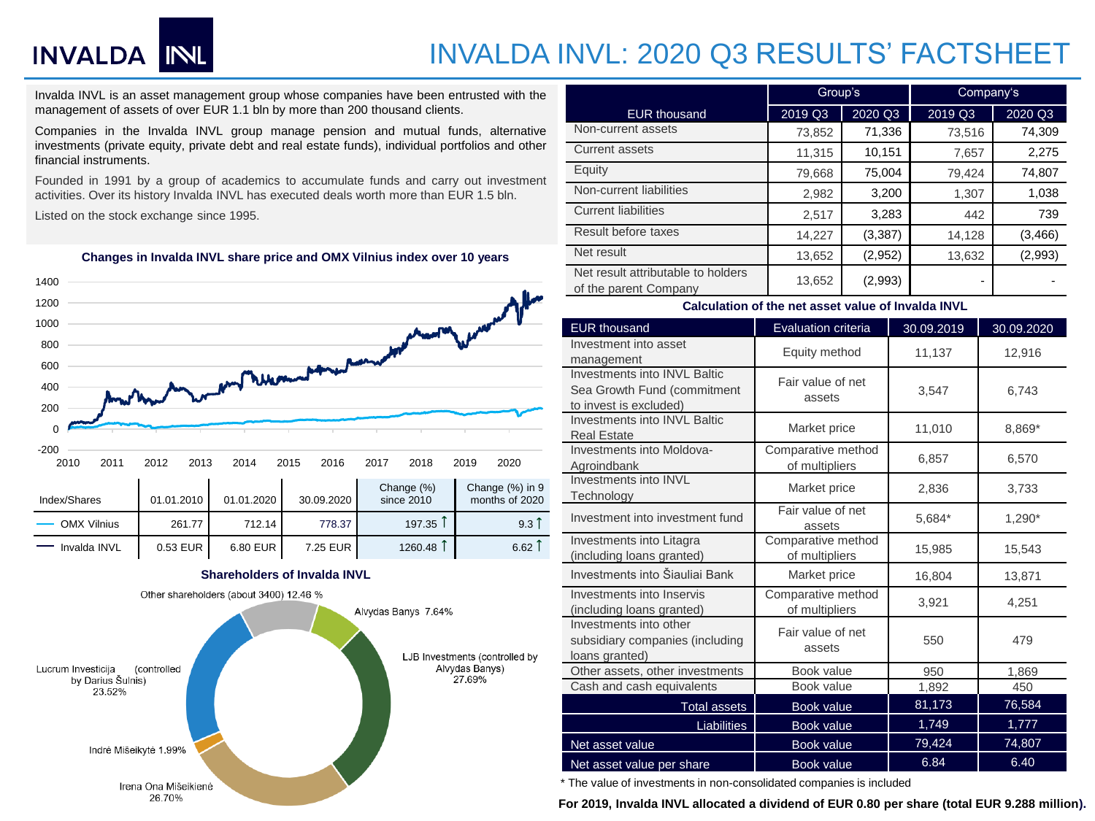# INVALDA INL

### INVALDA INVL: 2020 Q3 RESULTS' FACTSHEET

Invalda INVL is an asset management group whose companies have been entrusted with the management of assets of over EUR 1.1 bln by more than 200 thousand clients.

Companies in the Invalda INVL group manage pension and mutual funds, alternative investments (private equity, private debt and real estate funds), individual portfolios and other financial instruments.

Founded in 1991 by a group of academics to accumulate funds and carry out investment activities. Over its history Invalda INVL has executed deals worth more than EUR 1.5 bln.

Listed on the stock exchange since 1995.



### **Changes in Invalda INVL share price and OMX Vilnius index over 10 years**

#### **Shareholders of Invalda INVL**



|                                                             | Group's |          | Company's |          |  |
|-------------------------------------------------------------|---------|----------|-----------|----------|--|
| <b>EUR thousand</b>                                         | 2019 Q3 | 2020 Q3  | 2019 Q3   | 2020 Q3  |  |
| Non-current assets                                          | 73,852  | 71,336   | 73,516    | 74,309   |  |
| <b>Current assets</b>                                       | 11,315  | 10,151   | 7,657     | 2,275    |  |
| Equity                                                      | 79,668  | 75,004   | 79,424    | 74,807   |  |
| Non-current liabilities                                     | 2,982   | 3,200    | 1,307     | 1,038    |  |
| <b>Current liabilities</b>                                  | 2,517   | 3,283    | 442       | 739      |  |
| Result before taxes                                         | 14,227  | (3, 387) | 14,128    | (3, 466) |  |
| Net result                                                  | 13,652  | (2,952)  | 13,632    | (2,993)  |  |
| Net result attributable to holders<br>of the parent Company | 13,652  | (2,993)  |           |          |  |

#### **Calculation of the net asset value of Invalda INVL**

| <b>EUR thousand</b>                                                                   | Evaluation criteria                  | 30.09.2019 | 30.09.2020 |  |
|---------------------------------------------------------------------------------------|--------------------------------------|------------|------------|--|
| Investment into asset<br>management                                                   | Equity method                        | 11,137     | 12,916     |  |
| Investments into INVL Baltic<br>Sea Growth Fund (commitment<br>to invest is excluded) | Fair value of net<br>assets          | 3,547      | 6,743      |  |
| <b>Investments into INVL Baltic</b><br><b>Real Estate</b>                             | Market price                         | 11,010     | 8,869*     |  |
| Investments into Moldova-<br>Agroindbank                                              | Comparative method<br>of multipliers | 6,857      | 6,570      |  |
| Investments into INVL<br>Technology                                                   | Market price                         | 2,836      | 3,733      |  |
| Investment into investment fund                                                       | Fair value of net<br>assets          | 5,684*     | 1,290*     |  |
| Investments into Litagra<br>(including loans granted)                                 | Comparative method<br>of multipliers | 15,985     | 15,543     |  |
| Investments into Šiauliai Bank                                                        | Market price                         | 16,804     | 13,871     |  |
| Investments into Inservis<br>(including loans granted)                                | Comparative method<br>of multipliers | 3,921      | 4,251      |  |
| Investments into other<br>subsidiary companies (including<br>loans granted)           | Fair value of net<br>assets          | 550        | 479        |  |
| Other assets, other investments                                                       | Book value                           | 950        | 1,869      |  |
| Cash and cash equivalents                                                             | Book value                           | 1,892      | 450        |  |
| <b>Total assets</b>                                                                   | <b>Book value</b>                    | 81,173     | 76,584     |  |
| Liabilities                                                                           | <b>Book value</b>                    | 1,749      | 1,777      |  |
| Net asset value                                                                       | <b>Book value</b>                    | 79,424     | 74,807     |  |
| Net asset value per share                                                             | <b>Book value</b>                    | 6.84       | 6.40       |  |

\* The value of investments in non-consolidated companies is included

**For 2019, Invalda INVL allocated a dividend of EUR 0.80 per share (total EUR 9.288 million).**